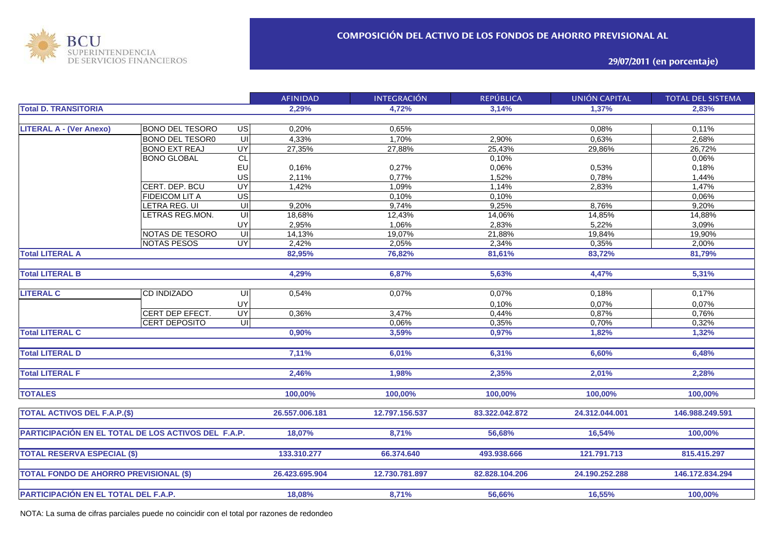

**29/07/2011 (en porcentaje)**

|                                                     |                        |                         | <b>AFINIDAD</b> | <b>INTEGRACIÓN</b> | <b>REPÚBLICA</b> | <b>UNIÓN CAPITAL</b> | <b>TOTAL DEL SISTEMA</b> |
|-----------------------------------------------------|------------------------|-------------------------|-----------------|--------------------|------------------|----------------------|--------------------------|
| <b>Total D. TRANSITORIA</b>                         |                        |                         | 2,29%           | 4,72%              | 3,14%            | 1,37%                | 2,83%                    |
|                                                     |                        |                         |                 |                    |                  |                      |                          |
| <b>LITERAL A - (Ver Anexo)</b>                      | <b>BONO DEL TESORO</b> | <b>US</b>               | 0,20%           | 0,65%              |                  | 0,08%                | 0,11%                    |
|                                                     | BONO DEL TESOR0        | $\overline{u}$          | 4,33%           | 1,70%              | 2,90%            | 0,63%                | 2,68%                    |
|                                                     | <b>BONO EXT REAJ</b>   | <b>UY</b>               | $27,35\%$       | 27,88%             | 25,43%           | 29,86%               | 26,72%                   |
|                                                     | <b>BONO GLOBAL</b>     | CL                      |                 |                    | 0,10%            |                      | 0,06%                    |
|                                                     |                        | EU                      | 0,16%           | 0,27%              | 0,06%            | 0,53%                | 0,18%                    |
|                                                     |                        | US                      | 2,11%           | 0,77%              | 1,52%            | 0,78%                | 1,44%                    |
|                                                     | CERT. DEP. BCU         | <b>UY</b>               | 1,42%           | 1,09%              | 1,14%            | 2,83%                | 1,47%                    |
|                                                     | <b>FIDEICOM LIT A</b>  | USI                     |                 | 0,10%              | 0,10%            |                      | 0,06%                    |
|                                                     | LETRA REG. UI          | $\overline{\mathsf{c}}$ | 9,20%           | 9,74%              | 9,25%            | 8,76%                | 9,20%                    |
|                                                     | LETRAS REG.MON.        | $\overline{\subseteq}$  | 18,68%          | 12,43%             | 14,06%           | 14,85%               | 14,88%                   |
|                                                     |                        | UY                      | 2,95%           | 1,06%              | 2,83%            | 5,22%                | 3,09%                    |
|                                                     | NOTAS DE TESORO        | $\overline{\mathsf{u}}$ | 14,13%          | 19,07%             | 21,88%           | 19,84%               | 19,90%                   |
|                                                     | <b>NOTAS PESOS</b>     | UY                      | 2,42%           | 2,05%              | 2,34%            | 0,35%                | 2,00%                    |
| <b>Total LITERAL A</b>                              |                        |                         | 82,95%          | 76,82%             | 81,61%           | 83,72%               | 81,79%                   |
|                                                     |                        |                         |                 |                    |                  |                      |                          |
| <b>Total LITERAL B</b>                              |                        | 4,29%                   | 6,87%           | 5,63%              | 4,47%            | 5,31%                |                          |
|                                                     |                        |                         |                 |                    |                  |                      |                          |
| <b>LITERAL C</b>                                    | <b>CD INDIZADO</b>     | UI                      | 0,54%           | 0,07%              | 0,07%            | 0,18%                | 0,17%                    |
|                                                     |                        | UY                      |                 |                    | 0,10%            | 0,07%                | 0,07%                    |
|                                                     | CERT DEP EFECT.        | UY <sup></sup>          | 0,36%           | 3,47%              | 0,44%            | 0,87%                | 0,76%                    |
|                                                     | <b>CERT DEPOSITO</b>   | $\equiv$                |                 | 0,06%              | 0,35%            | 0,70%                | 0,32%                    |
| <b>Total LITERAL C</b>                              |                        |                         | 0,90%           | 3,59%              | 0,97%            | 1,82%                | 1,32%                    |
| <b>Total LITERAL D</b>                              |                        |                         | 7,11%           | 6,01%              | 6,31%            | 6,60%                | 6,48%                    |
|                                                     |                        |                         |                 |                    |                  |                      |                          |
| <b>Total LITERAL F</b>                              |                        |                         | 2,46%           | 1,98%              | 2,35%            | 2,01%                | 2,28%                    |
|                                                     |                        |                         |                 |                    |                  |                      |                          |
| <b>TOTALES</b>                                      |                        |                         | 100,00%         | 100,00%            | 100,00%          | 100,00%              | 100,00%                  |
| <b>TOTAL ACTIVOS DEL F.A.P.(\$)</b>                 |                        |                         | 26.557.006.181  | 12.797.156.537     | 83.322.042.872   | 24.312.044.001       | 146.988.249.591          |
|                                                     |                        |                         |                 |                    |                  |                      |                          |
| PARTICIPACIÓN EN EL TOTAL DE LOS ACTIVOS DEL F.A.P. |                        |                         | 18,07%          | 8,71%              | 56,68%           | 16,54%               | 100,00%                  |
|                                                     |                        |                         |                 |                    |                  |                      |                          |
| <b>TOTAL RESERVA ESPECIAL (\$)</b>                  |                        |                         | 133.310.277     | 66.374.640         | 493.938.666      | 121.791.713          | 815.415.297              |
|                                                     |                        |                         |                 |                    |                  |                      |                          |
| <b>TOTAL FONDO DE AHORRO PREVISIONAL (\$)</b>       |                        |                         | 26.423.695.904  | 12.730.781.897     | 82.828.104.206   | 24.190.252.288       | 146.172.834.294          |
|                                                     |                        |                         |                 |                    |                  |                      |                          |
| PARTICIPACIÓN EN EL TOTAL DEL F.A.P.                |                        |                         | 18,08%          | 8,71%              | 56,66%           | 16,55%               | 100,00%                  |

NOTA: La suma de cifras parciales puede no coincidir con el total por razones de redondeo